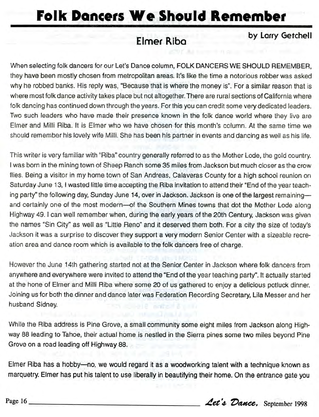## **Folk Poncers We Should Remember**

## **Elmer** Riba

**by Lorry Getchell**

When selecting folk dancers for our Let's Dance column, FOLK DANCERS WE SHOULD REMEMBER, they have been mostly chosen from metropolitan areas. It's like the time a notorious robber was asked why he robbed banks. His reply was, "Because that is where the money is". For a similar reason that is where most folk dance activity takes place but not altogether. There are rural sections of California where folk dancing has continued down through the years. For this you can credit some very dedicated leaders. Two such leaders who have made their presence known in the folk dance world where they live are Elmer and Milli Riba. It is Elmer who we have chosen for this month's column. At the same time we should remember his lovely wife Milli. She has been his partner in events and dancing as well as his life.

This writer is very familiar with "Riba" country generally referred to as the Mother Lode, the gold country. I was born in the mining town of Sheep Ranch some 35 miles from Jackson but much closer as the crow flies. Being a visitor in my home town of San Andreas, Calaveras County for a high school reunion on Saturday June 13, I wasted little time accepting the Riba invitation to attend their "End of the year teaching party" the following day, Sunday June 14, over in Jackson. Jackson is one of the largest remaining and certainly one of the most modern—of the Southern Mines towns that dot the Mother Lode along Highway 49.1 can well remember when, during the early years of the 20th Century, Jackson was given the names "Sin City" as well as "Little Reno" and it deserved them both. For a city the size of today's Jackson it was a surprise to discover they support a very modern Senior Center with a sizeable recreation area and dance room which is available to the folk dancers free of charge.

However the June 14th gathering started not at the Senior Center in Jackson where folk dancers from anywhere and everywhere were invited to attend the "End of the year teaching party". It actually started at the hone of Elmer and Milli Riba where some 20 of us gathered to enjoy a delicious potluck dinner. Joining us for both the dinner and dance later was Federation Recording Secretary, Lila Messer and her husband Sidney.

While the Riba address is Pine Grove, a small community some eight miles from Jackson along Highway 88 leading to Tahoe, their actual home is nestled in the Sierra pines some two miles beyond Pine Grove on a road leading off Highway 88.

Elmer Riba has a hobby— no, we would regard it as a woodworking talent with a technique known as marquetry. Elmer has put his talent to use liberally in beautifying their home. On the entrance gate you